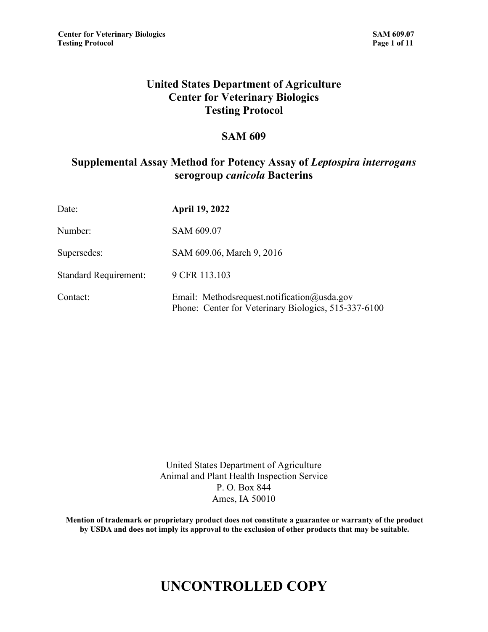### **United States Department of Agriculture Center for Veterinary Biologics Testing Protocol**

#### **SAM 609**

### **Supplemental Assay Method for Potency Assay of** *Leptospira interrogans* **serogroup** *canicola* **Bacterins**

| Date:                        | <b>April 19, 2022</b>                                                                               |
|------------------------------|-----------------------------------------------------------------------------------------------------|
| Number:                      | SAM 609.07                                                                                          |
| Supersedes:                  | SAM 609.06, March 9, 2016                                                                           |
| <b>Standard Requirement:</b> | 9 CFR 113.103                                                                                       |
| Contact:                     | Email: Methodsrequest.notification@usda.gov<br>Phone: Center for Veterinary Biologics, 515-337-6100 |

United States Department of Agriculture Animal and Plant Health Inspection Service P. O. Box 844 Ames, IA 50010

**Mention of trademark or proprietary product does not constitute a guarantee or warranty of the product by USDA and does not imply its approval to the exclusion of other products that may be suitable.**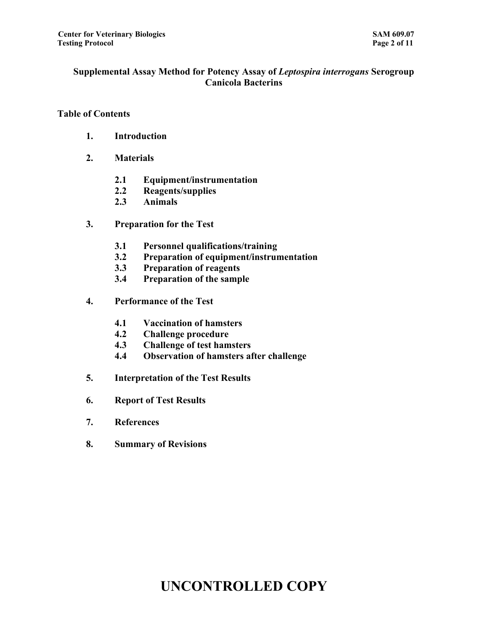#### **Supplemental Assay Method for Potency Assay of** *Leptospira interrogans* **Serogroup Canicola Bacterins**

#### **Table of Contents**

- **1. Introduction**
- **2. Materials**
	- **2.1 Equipment/instrumentation**
	- **2.2 Reagents/supplies**
	- **2.3 Animals**
- **3. Preparation for the Test**
	- **3.1 Personnel qualifications/training**
	- **3.2 Preparation of equipment/instrumentation**
	- **3.3 Preparation of reagents**
	- **3.4 Preparation of the sample**
- **4. Performance of the Test**
	- **4.1 Vaccination of hamsters**
	- **4.2 Challenge procedure**
	- **4.3 Challenge of test hamsters**
	- **4.4 Observation of hamsters after challenge**
- **5. Interpretation of the Test Results**
- **6. Report of Test Results**
- **7. References**
- **8. Summary of Revisions**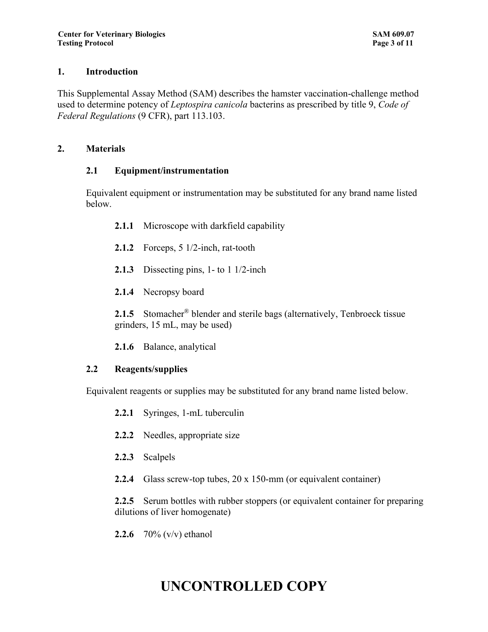#### **1. Introduction**

This Supplemental Assay Method (SAM) describes the hamster vaccination-challenge method used to determine potency of *Leptospira canicola* bacterins as prescribed by title 9, *Code of Federal Regulations* (9 CFR), part 113.103.

#### **2. Materials**

#### **2.1 Equipment/instrumentation**

Equivalent equipment or instrumentation may be substituted for any brand name listed below.

- **2.1.1** Microscope with darkfield capability
- **2.1.2** Forceps, 5 1/2-inch, rat-tooth
- **2.1.3** Dissecting pins, 1- to 1 1/2-inch
- **2.1.4** Necropsy board

**2.1.5** Stomacher<sup>®</sup> blender and sterile bags (alternatively, Tenbroeck tissue grinders, 15 mL, may be used)

**2.1.6** Balance, analytical

### **2.2 Reagents/supplies**

Equivalent reagents or supplies may be substituted for any brand name listed below.

- **2.2.1** Syringes, 1-mL tuberculin
- **2.2.2** Needles, appropriate size
- **2.2.3** Scalpels
- **2.2.4** Glass screw-top tubes, 20 x 150-mm (or equivalent container)

**2.2.5** Serum bottles with rubber stoppers (or equivalent container for preparing dilutions of liver homogenate)

**2.2.6** 70% (v/v) ethanol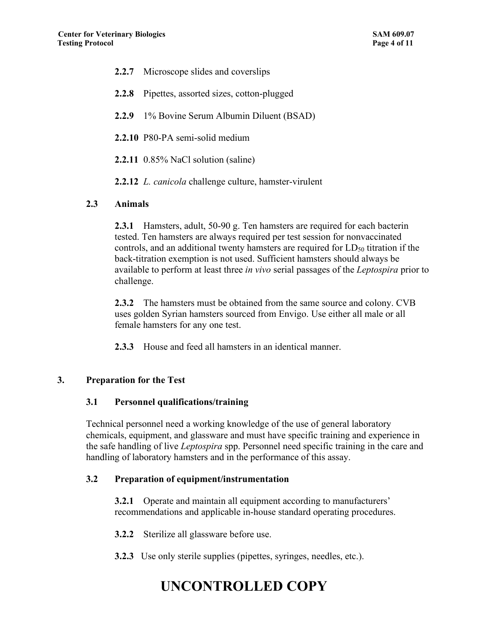- **2.2.7** Microscope slides and coverslips
- **2.2.8** Pipettes, assorted sizes, cotton-plugged
- **2.2.9** 1% Bovine Serum Albumin Diluent (BSAD)
- **2.2.10** P80-PA semi-solid medium
- **2.2.11** 0.85% NaCl solution (saline)
- **2.2.12** *L. canicola* challenge culture, hamster-virulent

#### **2.3 Animals**

**2.3.1** Hamsters, adult, 50-90 g. Ten hamsters are required for each bacterin tested. Ten hamsters are always required per test session for nonvaccinated controls, and an additional twenty hamsters are required for LD<sub>50</sub> titration if the back-titration exemption is not used. Sufficient hamsters should always be available to perform at least three *in vivo* serial passages of the *Leptospira* prior to challenge.

**2.3.2** The hamsters must be obtained from the same source and colony. CVB uses golden Syrian hamsters sourced from Envigo. Use either all male or all female hamsters for any one test.

**2.3.3** House and feed all hamsters in an identical manner.

#### **3. Preparation for the Test**

#### **3.1 Personnel qualifications/training**

Technical personnel need a working knowledge of the use of general laboratory chemicals, equipment, and glassware and must have specific training and experience in the safe handling of live *Leptospira* spp. Personnel need specific training in the care and handling of laboratory hamsters and in the performance of this assay.

#### **3.2 Preparation of equipment/instrumentation**

**3.2.1** Operate and maintain all equipment according to manufacturers' recommendations and applicable in-house standard operating procedures.

**3.2.2** Sterilize all glassware before use.

**3.2.3** Use only sterile supplies (pipettes, syringes, needles, etc.).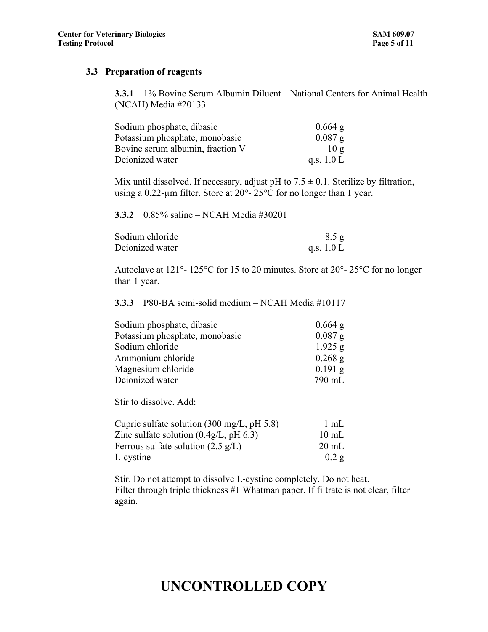#### **3.3 Preparation of reagents**

**3.3.1** 1% Bovine Serum Albumin Diluent – National Centers for Animal Health (NCAH) Media #20133

| Sodium phosphate, dibasic        | $0.664$ g    |
|----------------------------------|--------------|
| Potassium phosphate, monobasic   | $0.087$ g    |
| Bovine serum albumin, fraction V | 10g          |
| Deionized water                  | q.s. $1.0 L$ |

Mix until dissolved. If necessary, adjust pH to  $7.5 \pm 0.1$ . Sterilize by filtration, using a 0.22-µm filter. Store at 20°- 25°C for no longer than 1 year.

**3.3.2** 0.85% saline – NCAH Media #30201

| Sodium chloride | 8.5 g        |
|-----------------|--------------|
| Deionized water | q.s. $1.0 L$ |

Autoclave at 121°- 125°C for 15 to 20 minutes. Store at 20°- 25°C for no longer than 1 year.

**3.3.3** P80-BA semi-solid medium – NCAH Media #10117

| $0.664$ g |
|-----------|
| $0.087$ g |
| $1.925$ g |
| $0.268$ g |
| $0.191$ g |
| 790 mL    |
|           |

Stir to dissolve. Add:

| Cupric sulfate solution $(300 \text{ mg/L}, \text{pH } 5.8)$ | 1 mL            |
|--------------------------------------------------------------|-----------------|
| Zinc sulfate solution $(0.4g/L, pH 6.3)$                     | $10 \text{ mL}$ |
| Ferrous sulfate solution $(2.5 \text{ g/L})$                 | $20 \text{ mL}$ |
| L-cystine                                                    | 0.2 g           |

Stir. Do not attempt to dissolve L-cystine completely. Do not heat. Filter through triple thickness #1 Whatman paper. If filtrate is not clear, filter again.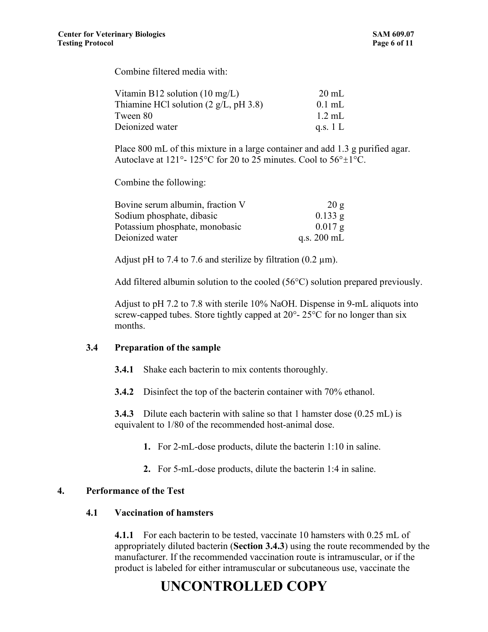Combine filtered media with:

| Vitamin B12 solution $(10 \text{ mg/L})$ | $20 \text{ mL}$ |
|------------------------------------------|-----------------|
| Thiamine HCl solution $(2 g/L, pH 3.8)$  | $0.1$ mL        |
| Tween 80                                 | $1.2$ mL        |
| Deionized water                          | q.s. $1 L$      |

Place 800 mL of this mixture in a large container and add 1.3 g purified agar. Autoclave at 121°- 125°C for 20 to 25 minutes. Cool to  $56^{\circ} \pm 1^{\circ}$ C.

Combine the following:

| Bovine serum albumin, fraction V | 20g                   |
|----------------------------------|-----------------------|
| Sodium phosphate, dibasic        | $0.133$ g             |
| Potassium phosphate, monobasic   | $0.017 \; \text{g}$   |
| Deionized water                  | q.s. $200 \text{ mL}$ |

Adjust pH to 7.4 to 7.6 and sterilize by filtration  $(0.2 \mu m)$ .

Add filtered albumin solution to the cooled (56°C) solution prepared previously.

Adjust to pH 7.2 to 7.8 with sterile 10% NaOH. Dispense in 9-mL aliquots into screw-capped tubes. Store tightly capped at  $20^{\circ}$ -  $25^{\circ}$ C for no longer than six months.

#### **3.4 Preparation of the sample**

**3.4.1** Shake each bacterin to mix contents thoroughly.

**3.4.2** Disinfect the top of the bacterin container with 70% ethanol.

**3.4.3** Dilute each bacterin with saline so that 1 hamster dose (0.25 mL) is equivalent to 1/80 of the recommended host-animal dose.

- **1.** For 2-mL-dose products, dilute the bacterin 1:10 in saline.
- **2.** For 5-mL-dose products, dilute the bacterin 1:4 in saline.

#### **4. Performance of the Test**

#### **4.1 Vaccination of hamsters**

**4.1.1** For each bacterin to be tested, vaccinate 10 hamsters with 0.25 mL of appropriately diluted bacterin (**Section 3.4.3**) using the route recommended by the manufacturer. If the recommended vaccination route is intramuscular, or if the product is labeled for either intramuscular or subcutaneous use, vaccinate the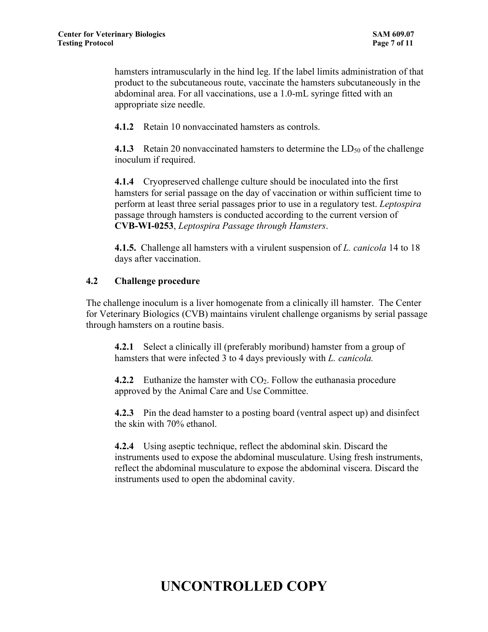hamsters intramuscularly in the hind leg. If the label limits administration of that product to the subcutaneous route, vaccinate the hamsters subcutaneously in the abdominal area. For all vaccinations, use a 1.0-mL syringe fitted with an appropriate size needle.

**4.1.2** Retain 10 nonvaccinated hamsters as controls.

**4.1.3** Retain 20 nonvaccinated hamsters to determine the LD<sub>50</sub> of the challenge inoculum if required.

**4.1.4** Cryopreserved challenge culture should be inoculated into the first hamsters for serial passage on the day of vaccination or within sufficient time to perform at least three serial passages prior to use in a regulatory test. *Leptospira* passage through hamsters is conducted according to the current version of **[CVB-WI-0253](https://aapiaam3vmc10.usda.net/mc/index.cfm?initialRequest=https%3A%2F%2FAAPIAAM3VMC10.usda.net%3A443%2Fmc%2Fmain%2Findex.cfm%3Fevent%3DshowFile%26ID%3D3B4RMGEISJCILCUPU7%26static%3Dfalse)**, *Leptospira Passage through Hamsters*.

**4.1.5.** Challenge all hamsters with a virulent suspension of *L. canicola* 14 to 18 days after vaccination.

#### **4.2 Challenge procedure**

The challenge inoculum is a liver homogenate from a clinically ill hamster. The Center for Veterinary Biologics (CVB) maintains virulent challenge organisms by serial passage through hamsters on a routine basis.

**4.2.1** Select a clinically ill (preferably moribund) hamster from a group of hamsters that were infected 3 to 4 days previously with *L. canicola.*

**4.2.2** Euthanize the hamster with CO<sub>2</sub>. Follow the euthanasia procedure approved by the Animal Care and Use Committee.

**4.2.3** Pin the dead hamster to a posting board (ventral aspect up) and disinfect the skin with 70% ethanol.

**4.2.4** Using aseptic technique, reflect the abdominal skin. Discard the instruments used to expose the abdominal musculature. Using fresh instruments, reflect the abdominal musculature to expose the abdominal viscera. Discard the instruments used to open the abdominal cavity.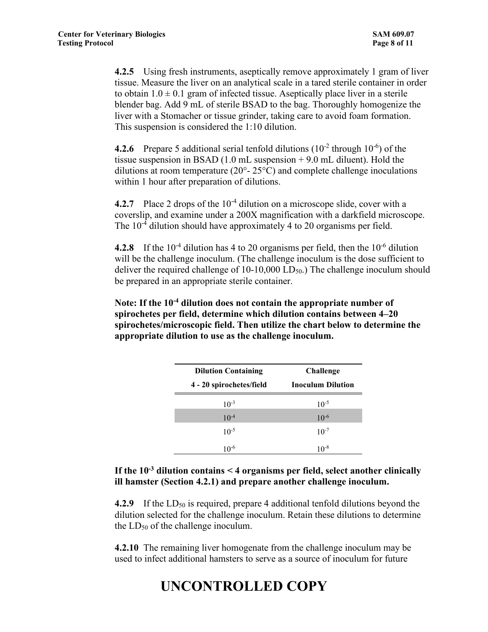**4.2.5** Using fresh instruments, aseptically remove approximately 1 gram of liver tissue. Measure the liver on an analytical scale in a tared sterile container in order to obtain  $1.0 \pm 0.1$  gram of infected tissue. Aseptically place liver in a sterile blender bag. Add 9 mL of sterile BSAD to the bag. Thoroughly homogenize the liver with a Stomacher or tissue grinder, taking care to avoid foam formation. This suspension is considered the 1:10 dilution.

**4.2.6** Prepare 5 additional serial tenfold dilutions  $(10^{-2}$  through  $10^{-6}$ ) of the tissue suspension in BSAD  $(1.0 \text{ mL suspension} + 9.0 \text{ mL diluent})$ . Hold the dilutions at room temperature ( $20^{\circ}$ -  $25^{\circ}$ C) and complete challenge inoculations within 1 hour after preparation of dilutions.

**4.2.7** Place 2 drops of the 10<sup>-4</sup> dilution on a microscope slide, cover with a coverslip, and examine under a 200X magnification with a darkfield microscope. The  $10<sup>-4</sup>$  dilution should have approximately 4 to 20 organisms per field.

**4.2.8** If the  $10^{-4}$  dilution has 4 to 20 organisms per field, then the  $10^{-6}$  dilution will be the challenge inoculum. (The challenge inoculum is the dose sufficient to deliver the required challenge of  $10-10,000$  LD<sub>50</sub>.) The challenge inoculum should be prepared in an appropriate sterile container.

**Note: If the 10-4 dilution does not contain the appropriate number of spirochetes per field, determine which dilution contains between 4–20 spirochetes/microscopic field. Then utilize the chart below to determine the appropriate dilution to use as the challenge inoculum.**

| <b>Dilution Containing</b> | <b>Challenge</b>         |  |
|----------------------------|--------------------------|--|
| 4 - 20 spirochetes/field   | <b>Inoculum Dilution</b> |  |
| $10^{-3}$                  | $10^{-5}$                |  |
| $10^{-4}$                  | $10^{-6}$                |  |
| $10^{-5}$                  | $10^{-7}$                |  |
| $10^{-6}$                  | $10^{-8}$                |  |

#### **If the 10-3 dilution contains < 4 organisms per field, select another clinically ill hamster (Section 4.2.1) and prepare another challenge inoculum.**

**4.2.9** If the LD<sub>50</sub> is required, prepare 4 additional tenfold dilutions beyond the dilution selected for the challenge inoculum. Retain these dilutions to determine the  $LD_{50}$  of the challenge inoculum.

**4.2.10** The remaining liver homogenate from the challenge inoculum may be used to infect additional hamsters to serve as a source of inoculum for future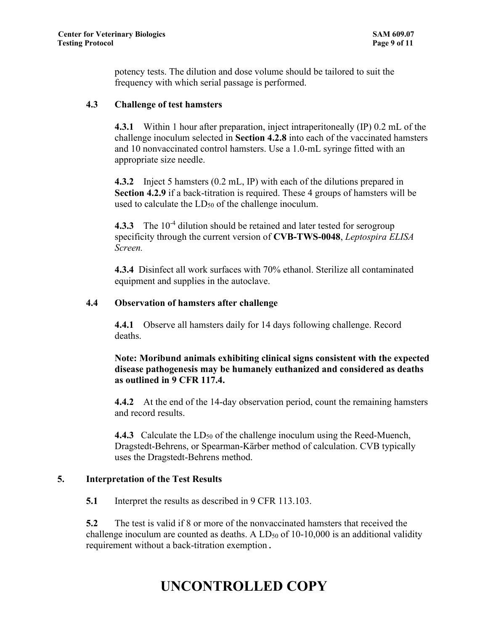potency tests. The dilution and dose volume should be tailored to suit the frequency with which serial passage is performed.

#### **4.3 Challenge of test hamsters**

**4.3.1** Within 1 hour after preparation, inject intraperitoneally (IP) 0.2 mL of the challenge inoculum selected in **Section 4.2.8** into each of the vaccinated hamsters and 10 nonvaccinated control hamsters. Use a 1.0-mL syringe fitted with an appropriate size needle.

**4.3.2** Inject 5 hamsters (0.2 mL, IP) with each of the dilutions prepared in **Section 4.2.9** if a back-titration is required. These 4 groups of hamsters will be used to calculate the  $LD_{50}$  of the challenge inoculum.

**4.3.3** The 10<sup>-4</sup> dilution should be retained and later tested for serogroup specificity through the current version of **[CVB-TWS-0048](https://aapiaam3vmc10.usda.net/mc/index.cfm?initialRequest=https%3A%2F%2FAAPIAAM3VMC10.usda.net%3A443%2Fmc%2Fmain%2Findex.cfm%3Fevent%3DshowFile%26ID%3DAZTI6HPNJ5FMZEKAMH%26static%3Dfalse)**, *Leptospira ELISA Screen.*

**4.3.4** Disinfect all work surfaces with 70% ethanol. Sterilize all contaminated equipment and supplies in the autoclave.

#### **4.4 Observation of hamsters after challenge**

**4.4.1** Observe all hamsters daily for 14 days following challenge. Record deaths.

#### **Note: Moribund animals exhibiting clinical signs consistent with the expected disease pathogenesis may be humanely euthanized and considered as deaths as outlined in 9 CFR 117.4.**

**4.4.2** At the end of the 14-day observation period, count the remaining hamsters and record results.

**4.4.3** Calculate the  $LD_{50}$  of the challenge inoculum using the Reed-Muench, Dragstedt-Behrens, or Spearman-Kärber method of calculation. CVB typically uses the Dragstedt-Behrens method.

#### **5. Interpretation of the Test Results**

**5.1** Interpret the results as described in 9 CFR 113.103.

**5.2** The test is valid if 8 or more of the nonvaccinated hamsters that received the challenge inoculum are counted as deaths. A  $LD_{50}$  of 10-10,000 is an additional validity requirement without a back-titration exemption.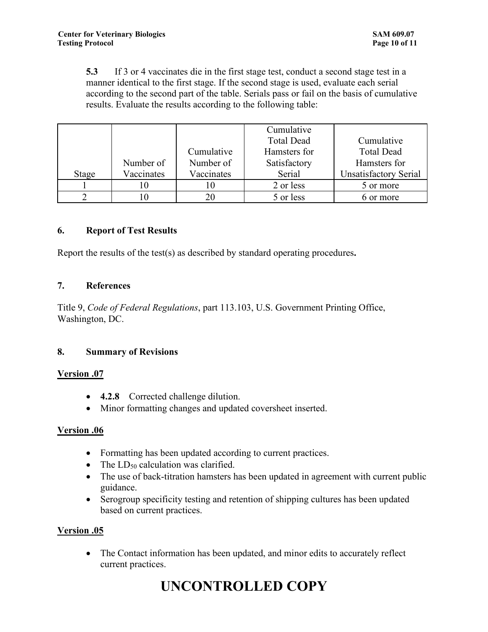**5.3** If 3 or 4 vaccinates die in the first stage test, conduct a second stage test in a manner identical to the first stage. If the second stage is used, evaluate each serial according to the second part of the table. Serials pass or fail on the basis of cumulative results. Evaluate the results according to the following table:

|       |            |            | Cumulative        |                              |
|-------|------------|------------|-------------------|------------------------------|
|       |            |            | <b>Total Dead</b> | Cumulative                   |
|       |            | Cumulative | Hamsters for      | <b>Total Dead</b>            |
|       | Number of  | Number of  | Satisfactory      | Hamsters for                 |
| Stage | Vaccinates | Vaccinates | Serial            | <b>Unsatisfactory Serial</b> |
|       |            |            | 2 or less         | 5 or more                    |
|       |            |            | 5 or less         | 6 or more                    |

#### **6. Report of Test Results**

Report the results of the test(s) as described by standard operating procedures**.**

#### **7. References**

Title 9, *Code of Federal Regulations*, part 113.103, U.S. Government Printing Office, Washington, DC.

#### **8. Summary of Revisions**

#### **Version .07**

- **4.2.8** Corrected challenge dilution.
- Minor formatting changes and updated coversheet inserted.

#### **Version .06**

- Formatting has been updated according to current practices.
- The  $LD_{50}$  calculation was clarified.
- The use of back-titration hamsters has been updated in agreement with current public guidance.
- Serogroup specificity testing and retention of shipping cultures has been updated based on current practices.

#### **Version .05**

• The Contact information has been updated, and minor edits to accurately reflect current practices.